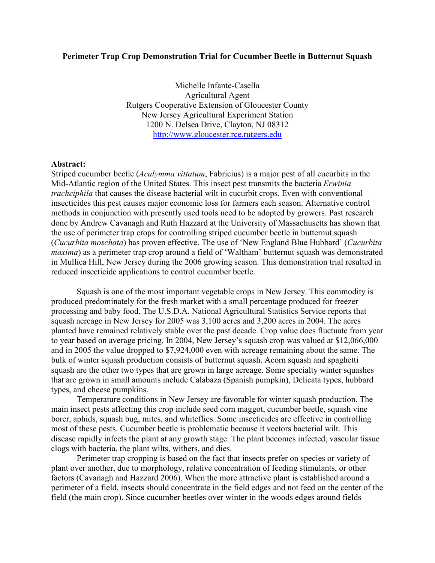## Perimeter Trap Crop Demonstration Trial for Cucumber Beetle in Butternut Squash

 Agricultural Agent Rutgers Cooperative Extension of Gloucester County New Jersey Agricultural Experiment Station 1200 N. Delsea Drive, Clayton, NJ 08312 Michelle Infante-Casella http://www.gloucester.rce.rutgers.edu

## Abstract:

Striped cucumber beetle (*Acalymma vittatum*, Fabricius) is a major pest of all cucurbits in the Mid-Atlantic region of the United States. This insect pest transmits the bacteria Erwinia tracheiphila that causes the disease bacterial wilt in cucurbit crops. Even with conventional insecticides this pest causes major economic loss for farmers each season. Alternative control methods in conjunction with presently used tools need to be adopted by growers. Past research done by Andrew Cavanagh and Ruth Hazzard at the University of Massachusetts has shown that the use of perimeter trap crops for controlling striped cucumber beetle in butternut squash (Cucurbita moschata) has proven effective. The use of 'New England Blue Hubbard' (Cucurbita maxima) as a perimeter trap crop around a field of 'Waltham' butternut squash was demonstrated in Mullica Hill, New Jersey during the 2006 growing season. This demonstration trial resulted in reduced insecticide applications to control cucumber beetle.

 Squash is one of the most important vegetable crops in New Jersey. This commodity is produced predominately for the fresh market with a small percentage produced for freezer processing and baby food. The U.S.D.A. National Agricultural Statistics Service reports that squash acreage in New Jersey for 2005 was 3,100 acres and 3,200 acres in 2004. The acres planted have remained relatively stable over the past decade. Crop value does fluctuate from year to year based on average pricing. In 2004, New Jersey's squash crop was valued at \$12,066,000 and in 2005 the value dropped to \$7,924,000 even with acreage remaining about the same. The bulk of winter squash production consists of butternut squash. Acorn squash and spaghetti squash are the other two types that are grown in large acreage. Some specialty winter squashes that are grown in small amounts include Calabaza (Spanish pumpkin), Delicata types, hubbard types, and cheese pumpkins.

 Temperature conditions in New Jersey are favorable for winter squash production. The main insect pests affecting this crop include seed corn maggot, cucumber beetle, squash vine borer, aphids, squash bug, mites, and whiteflies. Some insecticides are effective in controlling most of these pests. Cucumber beetle is problematic because it vectors bacterial wilt. This disease rapidly infects the plant at any growth stage. The plant becomes infected, vascular tissue clogs with bacteria, the plant wilts, withers, and dies.

 Perimeter trap cropping is based on the fact that insects prefer on species or variety of plant over another, due to morphology, relative concentration of feeding stimulants, or other factors (Cavanagh and Hazzard 2006). When the more attractive plant is established around a perimeter of a field, insects should concentrate in the field edges and not feed on the center of the field (the main crop). Since cucumber beetles over winter in the woods edges around fields